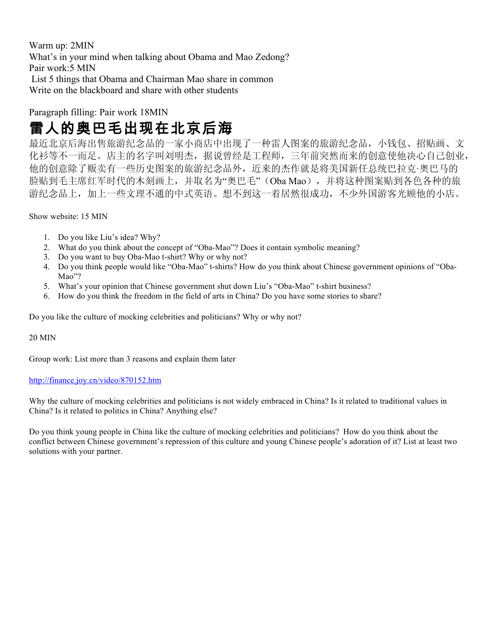Warm up: 2MIN What's in your mind when talking about Obama and Mao Zedong? Pair work:5 MIN List 5 things that Obama and Chairman Mao share in common Write on the blackboard and share with other students

#### Paragraph filling: Pair work 18MIN

# 雷人的奥巴毛出现在北京后海

最近北京后海出售旅游纪念品的一家小商店中出现了一种雷人图案的旅游纪念品,小钱包、招贴画、文 化衫等不一而足。店主的名字叫刘明杰,据说曾经是工程师,三年前突然而来的创意使他决心自己创业, 他的创意除了贩卖有一些历史图案的旅游纪念品外,近来的杰作就是将美国新任总统巴拉克·奥巴马的 脸贴到毛主席红军时代的木刻画上,并取名为"奥巴毛"(Oba Mao),并将这种图案贴到各色各种的旅 游纪念品上,加上一些文理不通的中式英语。想不到这一着居然很成功,不少外国游客光顾他的小店。

Show website: 15 MIN

- 1. Do you like Liu's idea? Why?
- 2. What do you think about the concept of "Oba-Mao"? Does it contain symbolic meaning?
- 3. Do you want to buy Oba-Mao t-shirt? Why or why not?
- 4. Do you think people would like "Oba-Mao" t-shirts? How do you think about Chinese government opinions of "Oba-Mao"?
- 5. What's your opinion that Chinese government shut down Liu's "Oba-Mao" t-shirt business?
- 6. How do you think the freedom in the field of arts in China? Do you have some stories to share?

Do you like the culture of mocking celebrities and politicians? Why or why not?

20 MIN

Group work: List more than 3 reasons and explain them later

#### http://finance.joy.cn/video/870152.htm

Why the culture of mocking celebrities and politicians is not widely embraced in China? Is it related to traditional values in China? Is it related to politics in China? Anything else?

Do you think young people in China like the culture of mocking celebrities and politicians? How do you think about the conflict between Chinese government's repression of this culture and young Chinese people's adoration of it? List at least two solutions with your partner.